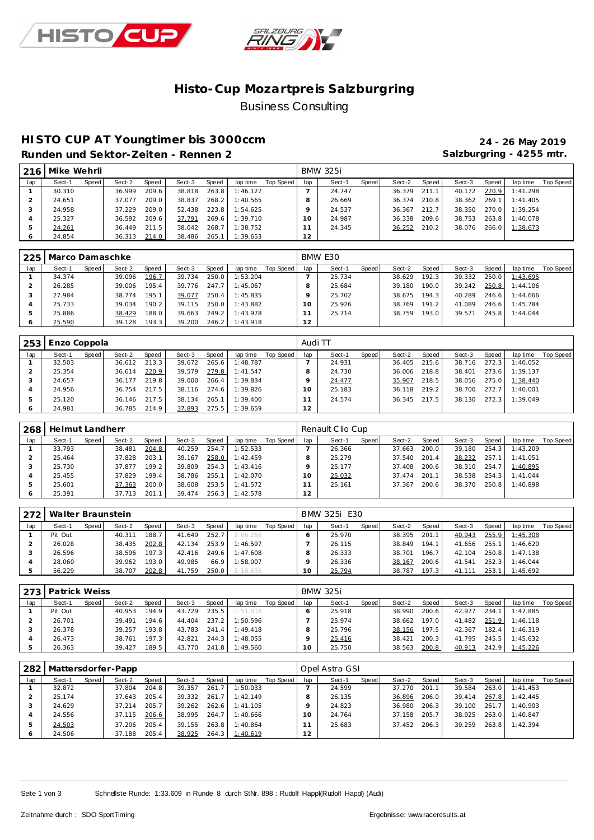



## **Histo-Cup Mozartpre is Salzburgring** Business Consulting

# **HISTO CUP AT Youngtimer bis 3000ccm 24 - 26 May 2019**

**Runden und Sektor-Zeiten - Rennen 2 Salzburgring - 4255 mtr.**

| 216 | Mike Wehrli |       |        |              |        |       |                |           |     | <b>BMW 325i</b> |       |        |       |        |       |          |           |
|-----|-------------|-------|--------|--------------|--------|-------|----------------|-----------|-----|-----------------|-------|--------|-------|--------|-------|----------|-----------|
| lap | Sect-1      | Speed | Sect-2 | <b>Speed</b> | Sect-3 | Speed | lap time       | Top Speed | lap | Sect-1          | Speed | Sect-2 | Speed | Sect-3 | Speed | lap time | Top Speed |
|     | 30.310      |       | 36.999 | 209.6        | 38.818 | 263.8 | 1:46.127       |           |     | 24.747          |       | 36.379 | 211.1 | 40.172 | 270.9 | 1:41.298 |           |
|     | 24.651      |       | 37.077 | 209.0        | 38.837 | 268.2 | 1:40.565       |           |     | 26.669          |       | 36.374 | 210.8 | 38.362 | 269.1 | 1:41.405 |           |
|     | 24.958      |       | 37.229 | 209.0        | 52.438 |       | 223.8 1:54.625 |           |     | 24.537          |       | 36.367 | 212.7 | 38.350 | 270.0 | 1:39.254 |           |
| 4   | 25.327      |       | 36.592 | 209.6        | 37.791 |       | 269.6 1:39.710 |           | 10  | 24.987          |       | 36.338 | 209.6 | 38.753 | 263.8 | 1:40.078 |           |
|     | 24.261      |       | 36.449 | 211.5        | 38.042 | 268.7 | 1:38.752       |           |     | 24.345          |       | 36.252 | 210.2 | 38.076 | 266.0 | 1:38.673 |           |
| O   | 24.854      |       | 36.313 | 214.0        | 38.486 | 265.1 | 1:39.653       |           | 12  |                 |       |        |       |        |       |          |           |

| 225 | Marco Damaschke |       |        |        |        |       |          |           |     | BMW E30 |       |        |       |        |       |          |           |
|-----|-----------------|-------|--------|--------|--------|-------|----------|-----------|-----|---------|-------|--------|-------|--------|-------|----------|-----------|
| lap | Sect-1          | Speed | Sect-2 | Speed  | Sect-3 | Speed | lap time | Top Speed | lap | Sect-1  | Speed | Sect-2 | Speed | Sect-3 | Speed | lap time | Top Speed |
|     | 34.374          |       | 39.096 | 196.7  | 39.734 | 250.0 | 1:53.204 |           |     | 25.734  |       | 38.629 | 192.3 | 39.332 | 250.0 | 1:43.695 |           |
|     | 26.285          |       | 39.006 | 195.4  | 39.776 | 247.7 | 1:45.067 |           |     | 25.684  |       | 39.180 | 190.0 | 39.242 | 250.8 | 1:44.106 |           |
|     | 27.984          |       | 38.774 | 195.1  | 39.077 | 250.4 | 1:45.835 |           |     | 25.702  |       | 38.675 | 194.3 | 40.289 | 246.6 | 1:44.666 |           |
|     | 25.733          |       | 39.034 | 190.2  | 39.115 | 250.0 | 1:43.882 |           |     | 25.926  |       | 38.769 | 191.2 | 41.089 | 246.6 | 1:45.784 |           |
|     | 25.886          |       | 38.429 | 188.0  | 39.663 | 249.2 | 1:43.978 |           |     | 25.714  |       | 38.759 | 193.0 | 39.571 | 245.8 | 1:44.044 |           |
|     | 25.590          |       | 39.128 | 193.3. | 39.200 | 246.2 | 1:43.918 |           | 12  |         |       |        |       |        |       |          |           |

| 253     | Enzo Coppola |       |        |       |        |       |          |           | Audi TT |        |       |        |       |        |       |          |           |
|---------|--------------|-------|--------|-------|--------|-------|----------|-----------|---------|--------|-------|--------|-------|--------|-------|----------|-----------|
| lap     | Sect-1       | Speed | Sect-2 | Speed | Sect-3 | Speed | lap time | Top Speed | lap     | Sect-1 | Speed | Sect-2 | Speed | Sect-3 | Speed | lap time | Top Speed |
|         | 32.503       |       | 36.612 | 213.3 | 39.672 | 265.6 | 1:48.787 |           |         | 24.931 |       | 36.405 | 215.6 | 38.716 | 272.3 | 1:40.052 |           |
|         | 25.354       |       | 36.614 | 220.9 | 39.579 | 279.8 | 1:41.547 |           |         | 24.730 |       | 36.006 | 218.8 | 38.401 | 273.6 | 1:39.137 |           |
|         | 24.657       |       | 36.177 | 219.8 | 39.000 | 266.4 | 1:39.834 |           |         | 24.477 |       | 35.907 | 218.5 | 38.056 | 275.0 | 1:38.440 |           |
|         | 24.956       |       | 36.754 | 217.5 | 38.116 | 274.6 | 1:39.826 |           |         | 25.183 |       | 36.118 | 219.2 | 38.700 | 272.7 | 1:40.001 |           |
|         | 25.120       |       | 36.146 | 217.5 | 38.134 | 265.1 | 1:39.400 |           |         | 24.574 |       | 36.345 | 217.5 | 38.130 | 272.3 | 1:39.049 |           |
| $\circ$ | 24.981       |       | 36.785 | 214.9 | 37.893 | 275.5 | 1:39.659 |           | 12      |        |       |        |       |        |       |          |           |

| 268     | Helmut Landherr |       |        |       |        |       |          |           |          | Renault Clio Cup |       |        |       |        |       |          |           |
|---------|-----------------|-------|--------|-------|--------|-------|----------|-----------|----------|------------------|-------|--------|-------|--------|-------|----------|-----------|
| lap     | Sect-1          | Speed | Sect-2 | Speed | Sect-3 | Speed | lap time | Top Speed | lap      | Sect-1           | Speed | Sect-2 | Speed | Sect-3 | Speed | lap time | Top Speed |
|         | 33.793          |       | 38.481 | 204.8 | 40.259 | 254.  | : 52.533 |           |          | 26.366           |       | 37.663 | 200.0 | 39.180 | 254.3 | 1:43.209 |           |
|         | 25.464          |       | 37.828 | 203.1 | 39.167 | 258.0 | 1:42.459 |           |          | 25.279           |       | 37.540 | 201.4 | 38.232 | 257.7 | 1:41.051 |           |
|         | 25.730          |       | 37.877 | 199.2 | 39.809 | 254.3 | 1:43.416 |           |          | 25.177           |       | 37.408 | 200.6 | 38.310 | 254.7 | 1:40.895 |           |
|         | 25.455          |       | 37.829 | 199.4 | 38.786 | 255.1 | 1:42.070 |           | $\Omega$ | 25.032           |       | 37.474 | 201   | 38.538 | 254.3 | 1:41.044 |           |
| 5       | 25.601          |       | 37.363 | 200.0 | 38.608 | 253.5 | 1:41.572 |           |          | 25.161           |       | 37.367 | 200.6 | 38.370 | 250.8 | 1:40.898 |           |
| $\circ$ | 25.391          |       | 37.713 | 201.1 | 39.474 | 256.3 | 1:42.578 |           | 12       |                  |       |        |       |        |       |          |           |

| 272 | Walter Braunstein |       |        |              |        |       |          |           |     | BMW 325i E30 |       |        |       |        |       |          |           |
|-----|-------------------|-------|--------|--------------|--------|-------|----------|-----------|-----|--------------|-------|--------|-------|--------|-------|----------|-----------|
| lap | Sect-1            | Speed | Sect-2 | <b>Speed</b> | Sect-3 | Speed | lap time | Top Speed | lap | Sect-1       | Speed | Sect-2 | Speed | Sect-3 | Speed | lap time | Top Speed |
|     | Pit Out           |       | 40.311 | 188.7        | 41.649 | 252.7 | 2:06.268 |           |     | 25.970       |       | 38.395 | 201.1 | 40.943 | 255.9 | 1:45.308 |           |
|     | 26.028            |       | 38.435 | 202.8        | 42.134 | 253.9 | 1:46.597 |           |     | 26.115       |       | 38.849 | 194.1 | 41.656 | 255.1 | 1:46.620 |           |
|     | 26.596            |       | 38.596 | 197.3        | 42.416 | 249.6 | 1:47.608 |           |     | 26.333       |       | 38.701 | 196.7 | 42.104 | 250.8 | 1:47.138 |           |
|     | 28.060            |       | 39.962 | 193.0        | 49.985 | 66.9  | 1:58.007 |           |     | 26.336       |       | 38.167 | 200.6 | 41.541 | 252.3 | 1:46.044 |           |
|     | 56.229            |       | 38.707 | 202.8        | 41.759 | 250.0 | 2:16.695 |           | 10  | 25.794       |       | 38.787 | 197.3 | 41.111 | 253.  | 1:45.692 |           |

|     | 273   Patrick Weiss |       |        |       |        |       |          |           |     | <b>BMW 325i</b> |         |        |       |        |       |          |           |
|-----|---------------------|-------|--------|-------|--------|-------|----------|-----------|-----|-----------------|---------|--------|-------|--------|-------|----------|-----------|
| lap | Sect-1              | Speed | Sect-2 | Speed | Sect-3 | Speed | lap time | Top Speed | lap | Sect-1          | Speed ! | Sect-2 | Speed | Sect-3 | Speed | lap time | Top Speed |
|     | Pit Out             |       | 40.953 | 194.9 | 43.729 | 235.5 | 1:51.818 |           |     | 25.918          |         | 38.990 | 200.6 | 42.977 | 234.1 | 1:47.885 |           |
|     | 26.701              |       | 39.491 | 194.6 | 44.404 | 237.2 | 1:50.596 |           |     | 25.974          |         | 38.662 | 197.0 | 41.482 | 251.9 | 1:46.118 |           |
|     | 26.378              |       | 39.257 | 193.8 | 43.783 | 241.4 | 1:49.418 |           |     | 25.796          |         | 38.156 | 197.5 | 42.367 | 182.4 | 1:46.319 |           |
|     | 26.473              |       | 38.761 | 197.3 | 42.821 | 244.3 | 1:48.055 |           |     | 25.416          |         | 38.421 | 200.3 | 41.795 | 245.5 | 1:45.632 |           |
|     | 26.363              |       | 39.427 | 189.5 | 43.770 | 241.8 | 1:49.560 |           | 0   | 25.750          |         | 38.563 | 200.8 | 40.913 | 242.9 | 1:45.226 |           |

| 282 | Mattersdorfer-Papp |       |        |       |        |       |          |           |     | Opel Astra GSI |       |        |       |        |       |          |           |
|-----|--------------------|-------|--------|-------|--------|-------|----------|-----------|-----|----------------|-------|--------|-------|--------|-------|----------|-----------|
| lap | Sect-1             | Speed | Sect-2 | Speed | Sect-3 | Speed | lap time | Top Speed | lap | Sect-1         | Speed | Sect-2 | Speed | Sect-3 | Speed | lap time | Top Speed |
|     | 32.872             |       | 37.804 | 204.8 | 39.357 | 261.7 | 1:50.033 |           |     | 24.599         |       | 37.270 | 201.1 | 39.584 | 263.0 | 1:41.453 |           |
|     | 25.174             |       | 37.643 | 205.4 | 39.332 | 261.7 | 1:42.149 |           |     | 26.135         |       | 36.896 | 206.0 | 39.414 | 267.8 | 1:42.445 |           |
|     | 24.629             |       | 37.214 | 205.7 | 39.262 | 262.6 | 1:41.105 |           |     | 24.823         |       | 36.980 | 206.3 | 39.100 | 261.7 | 1:40.903 |           |
|     | 24.556             |       | 37.115 | 206.6 | 38.995 | 264.7 | 1:40.666 |           | 10  | 24.764         |       | 37.158 | 205.7 | 38.925 | 263.0 | 1:40.847 |           |
|     | 24.503             |       | 37.206 | 205.4 | 39.155 | 263.8 | 1:40.864 |           |     | 25.683         |       | 37.452 | 206.3 | 39.259 | 263.8 | 1:42.394 |           |
|     | 24.506             |       | 37.188 | 205.4 | 38.925 | 264.3 | 1:40.619 |           | 12  |                |       |        |       |        |       |          |           |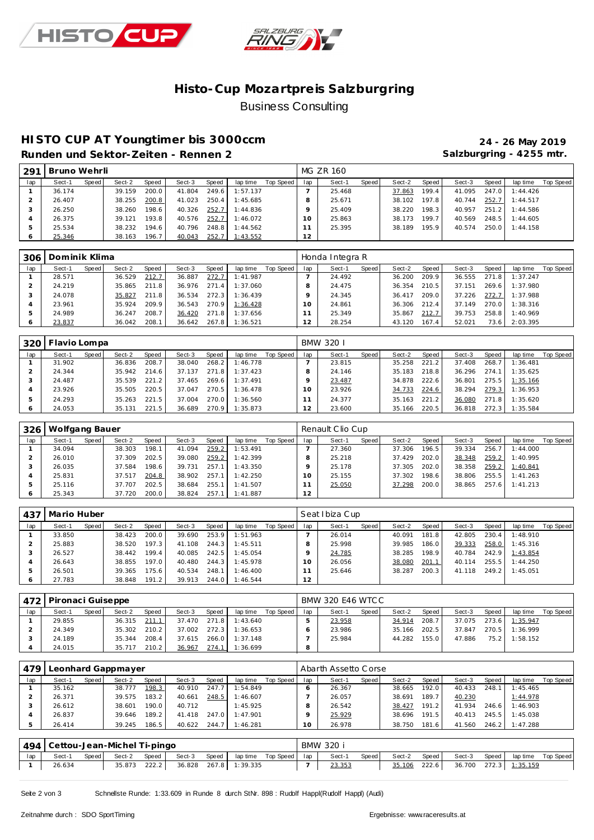



## **Histo-Cup Mozartpre is Salzburgring** Business Consulting

# **HISTO CUP AT Youngtimer bis 3000ccm 24 - 26 May 2019**

Salzburgring - 4255 mtr.

| 291 | Bruno Wehrli |       |        |                    |        |       |          |           |     | MG ZR 160 |       |        |        |        |       |          |           |
|-----|--------------|-------|--------|--------------------|--------|-------|----------|-----------|-----|-----------|-------|--------|--------|--------|-------|----------|-----------|
| lap | Sect-1       | Speed | Sect-2 | Speed              | Sect-3 | Speed | lap time | Top Speed | lap | Sect-1    | Speed | Sect-2 | Speed  | Sect-3 | Speed | lap time | Top Speed |
|     | 36.174       |       | 39.159 | 200.0              | 41.804 | 249.6 | 1:57.137 |           |     | 25.468    |       | 37.863 | 199.4  | 41.095 | 247.0 | 1:44.426 |           |
|     | 26.407       |       | 38.255 | 200.8              | 41.023 | 250.4 | 1:45.685 |           |     | 25.671    |       | 38.102 | 197.8  | 40.744 | 252.7 | 1:44.517 |           |
|     | 26.250       |       | 38.260 | 198.6              | 40.326 | 252.7 | 1:44.836 |           |     | 25.409    |       | 38.220 | 198.31 | 40.957 | 251.2 | 1:44.586 |           |
|     | 26.375       |       | 39.121 | 193.8              | 40.576 | 252.7 | 1:46.072 |           | 10  | 25.863    |       | 38.173 | 199.7  | 40.569 | 248.5 | 1:44.605 |           |
|     | 25.534       |       | 38.232 | 194.6 <sub>1</sub> | 40.796 | 248.8 | 1:44.562 |           |     | 25.395    |       | 38.189 | 195.91 | 40.574 | 250.0 | 1:44.158 |           |
|     | 25.346       |       | 38.163 | 196.7              | 40.043 | 252.7 | 1:43.552 |           | 12  |           |       |        |        |        |       |          |           |

| 306 | Dominik Klima |       |        |       |        |       |          |           |     | Honda Integra R |       |        |       |        |       |          |           |
|-----|---------------|-------|--------|-------|--------|-------|----------|-----------|-----|-----------------|-------|--------|-------|--------|-------|----------|-----------|
| lap | Sect-1        | Speed | Sect-2 | Speed | Sect-3 | Speed | lap time | Top Speed | lap | Sect-1          | Speed | Sect-2 | Speed | Sect-3 | Speed | lap time | Top Speed |
|     | 28.571        |       | 36.529 | 212.7 | 36.887 | 272.7 | 1:41.987 |           |     | 24.492          |       | 36.200 | 209.9 | 36.555 | 271.8 | 1:37.247 |           |
|     | 24.219        |       | 35.865 | 211.8 | 36.976 | 271.4 | 1:37.060 |           |     | 24.475          |       | 36.354 | 210.5 | 37.151 | 269.6 | 1:37.980 |           |
|     | 24.078        |       | 35.827 | 211.8 | 36.534 | 272.3 | 1:36.439 |           |     | 24.345          |       | 36.417 | 209.0 | 37.226 | 272.7 | 1:37.988 |           |
|     | 23.961        |       | 35.924 | 209.9 | 36.543 | 270.9 | 1:36.428 |           | Ω   | 24.861          |       | 36.306 | 212.4 | 37.149 | 270.0 | 1:38.316 |           |
|     | 24.989        |       | 36.247 | 208.7 | 36.420 | 271.8 | 1:37.656 |           |     | 25.349          |       | 35.867 | 212.7 | 39.753 | 258.8 | 1:40.969 |           |
|     | 23.837        |       | 36.042 | 208.1 | 36.642 | 267.8 | 1:36.521 |           | 12  | 28.254          |       | 43.120 | 167.4 | 52.021 | 73.6  | 2:03.395 |           |

| 320 | Flavio Lompa |       |        |       |        |       |          |           |     | BMW 320 I |       |        |       |        |       |          |                  |
|-----|--------------|-------|--------|-------|--------|-------|----------|-----------|-----|-----------|-------|--------|-------|--------|-------|----------|------------------|
| lap | Sect-1       | Speed | Sect-2 | Speed | Sect-3 | Speed | lap time | Top Speed | lap | Sect-1    | Speed | Sect-2 | Speed | Sect-3 | Speed | lap time | <b>Top Speed</b> |
|     | 31.902       |       | 36.836 | 208.7 | 38.040 | 268.2 | 1:46.778 |           |     | 23.815    |       | 35.258 | 221   | 37.408 | 268.7 | 1:36.481 |                  |
|     | 24.344       |       | 35.942 | 214.6 | 37.137 | 271.8 | 1:37.423 |           |     | 24.146    |       | 35.183 | 218.8 | 36.296 | 274.1 | 1:35.625 |                  |
|     | 24.487       |       | 35.539 | 221.2 | 37.465 | 269.6 | 1:37.491 |           |     | 23.487    |       | 34.878 | 222.6 | 36.801 | 275.5 | 1:35.166 |                  |
|     | 23.926       |       | 35.505 | 220.5 | 37.047 | 270.5 | 1:36.478 |           | Ω   | 23.926    |       | 34.733 | 224.6 | 38.294 | 279.3 | 1:36.953 |                  |
|     | 24.293       |       | 35.263 | 221.5 | 37.004 | 270.0 | 1:36.560 |           |     | 24.377    |       | 35.163 | 221.2 | 36.080 | 271.8 | 1:35.620 |                  |
|     | 24.053       |       | 35.131 | 221.5 | 36.689 | 270.9 | 1:35.873 |           |     | 23.600    |       | 35.166 | 220.5 | 36.818 | 272.3 | 1:35.584 |                  |

| 326     | Wolfgang Bauer |       |        |       |        |       |          |           |     | Renault Clio Cup |       |        |       |        |       |          |           |
|---------|----------------|-------|--------|-------|--------|-------|----------|-----------|-----|------------------|-------|--------|-------|--------|-------|----------|-----------|
| lap     | Sect-1         | Speed | Sect-2 | Speed | Sect-3 | Speed | lap time | Top Speed | lap | Sect-1           | Speed | Sect-2 | Speed | Sect-3 | Speed | lap time | Top Speed |
|         | 34.094         |       | 38.303 | 198.1 | 41.094 | 259.2 | 1:53.491 |           |     | 27.360           |       | 37.306 | 196.5 | 39.334 | 256.7 | 1:44.000 |           |
|         | 26.010         |       | 37.309 | 202.5 | 39.080 | 259.2 | 1:42.399 |           |     | 25.218           |       | 37.429 | 202.0 | 38.348 | 259.2 | 1:40.995 |           |
|         | 26.035         |       | 37.584 | 198.6 | 39.731 | 257.1 | 1:43.350 |           |     | 25.178           |       | 37.305 | 202.0 | 38.358 | 259.2 | 1:40.841 |           |
|         | 25.831         |       | 37.517 | 204.8 | 38.902 | 257.1 | 1:42.250 |           | Ω   | 25.155           |       | 37.302 | 198.6 | 38.806 | 255.5 | 1:41.263 |           |
|         | 25.116         |       | 37.707 | 202.5 | 38.684 | 255.1 | 1:41.507 |           |     | 25.050           |       | 37.298 | 200.0 | 38.865 | 257.6 | 1:41.213 |           |
| $\circ$ | 25.343         |       | 37.720 | 200.0 | 38.824 | 257.1 | 1:41.887 |           | 12  |                  |       |        |       |        |       |          |           |

| 437 | Mario Huber |         |        |       |        |       |          |           | Seat Ibiza Cup |        |       |        |       |        |       |          |           |  |
|-----|-------------|---------|--------|-------|--------|-------|----------|-----------|----------------|--------|-------|--------|-------|--------|-------|----------|-----------|--|
| lap | Sect-1      | Speed I | Sect-2 | Speed | Sect-3 | Speed | lap time | Top Speed | lap            | Sect-1 | Speed | Sect-2 | Speed | Sect-3 | Speed | lap time | Top Speed |  |
|     | 33.850      |         | 38.423 | 200.0 | 39.690 | 253.9 | 1:51.963 |           |                | 26.014 |       | 40.091 | 181.8 | 42.805 | 230.4 | 1:48.910 |           |  |
|     | 25.883      |         | 38.520 | 197.3 | 41.108 | 244.3 | 1:45.511 |           |                | 25.998 |       | 39.985 | 186.0 | 39.333 | 258.0 | 1:45.316 |           |  |
|     | 26.527      |         | 38.442 | 199.4 | 40.085 | 242.5 | 1:45.054 |           |                | 24.785 |       | 38.285 | 198.9 | 40.784 | 242.9 | 1:43.854 |           |  |
|     | 26.643      |         | 38.855 | 197.0 | 40.480 | 244.3 | 1:45.978 |           |                | 26.056 |       | 38.080 | 201.1 | 40.114 | 255.5 | 1:44.250 |           |  |
|     | 26.501      |         | 39.365 | 175.6 | 40.534 | 248.1 | 1:46.400 |           |                | 25.646 |       | 38.287 | 200.3 | 41.118 | 249.2 | 1:45.051 |           |  |
|     | 27.783      |         | 38.848 | 191.2 | 39.913 | 244.0 | 1:46.544 |           | 12             |        |       |        |       |        |       |          |           |  |

|     | 472   Pironaci Guiseppe |       |        |       |        | BMW 320 E46 WTCC |          |           |     |        |         |        |       |        |       |          |           |
|-----|-------------------------|-------|--------|-------|--------|------------------|----------|-----------|-----|--------|---------|--------|-------|--------|-------|----------|-----------|
| lap | Sect-1                  | Speed | Sect-2 | Speed | Sect-3 | Speed            | lap time | Top Speed | lap | Sect-1 | Speed ! | Sect-2 | Speed | Sect-3 | Speed | lap time | Top Speed |
|     | 29.855                  |       | 36.315 | 211.1 | 37.470 | 271.8            | 1:43.640 |           |     | 23.958 |         | 34.914 | 208.7 | 37.075 | 273.6 | 1:35.947 |           |
|     | 24.349                  |       | 35.302 | 210.2 | 37.002 | 272.3            | 1:36.653 |           |     | 23.986 |         | 35.166 | 202.5 | 37.847 | 270.5 | 1:36.999 |           |
|     | 24.189                  |       | 35.344 | 208.4 | 37.615 | 266.0            | 1:37.148 |           |     | 25.984 |         | 44.282 | 155.0 | 47.886 | 75.2  | 1:58.152 |           |
|     | 24.015                  |       | 35.717 | 210.2 | 36.967 | 274.1            | 1:36.699 |           | 8   |        |         |        |       |        |       |          |           |

| 479 | eonhard Gappmayer_ |       |        |       |        |       |          |           |     | Abarth Assetto Corse |       |        |       |        |       |          |           |  |  |  |
|-----|--------------------|-------|--------|-------|--------|-------|----------|-----------|-----|----------------------|-------|--------|-------|--------|-------|----------|-----------|--|--|--|
| lap | Sect-1             | Speed | Sect-2 | Speed | Sect-3 | Speed | lap time | Top Speed | lap | Sect-1               | Speed | Sect-2 | Speed | Sect-3 | Speed | lap time | Top Speed |  |  |  |
|     | 35.162             |       | 38.777 | 198.3 | 40.910 | 247.  | 1:54.849 |           |     | 26.367               |       | 38.665 | 192.0 | 40.433 | 248.1 | 1:45.465 |           |  |  |  |
|     | 26.371             |       | 39.575 | 183.2 | 40.661 | 248.5 | 1:46.607 |           |     | 26.057               |       | 38.691 | 189.7 | 40.230 |       | 1:44.978 |           |  |  |  |
|     | 26.612             |       | 38.601 | 190.0 | 40.712 |       | 1:45.925 |           |     | 26.542               |       | 38.427 | 191.2 | 41.934 | 246.6 | 1:46.903 |           |  |  |  |
|     | 26.837             |       | 39.646 | 189.2 | 41.418 | 247.0 | 1:47.901 |           |     | 25.929               |       | 38.696 | 191.5 | 40.413 | 245.5 | 1:45.038 |           |  |  |  |
|     | 26.414             |       | 39.245 | 186.5 | 40.622 | 244.7 | 1:46.281 |           | 10  | 26.978               |       | 38.750 | 181.6 | 41.560 | 246.2 | 1:47.288 |           |  |  |  |

|     | 494   Cettou-Jean-Michel Ti-pingo |         |        |       |        |       |                       |  |  | BMW 320 |       |              |       |                       |         |          |           |  |
|-----|-----------------------------------|---------|--------|-------|--------|-------|-----------------------|--|--|---------|-------|--------------|-------|-----------------------|---------|----------|-----------|--|
| lap | Sect-1                            | Speed I | Sect-2 | Speed | Sect-3 | Speed | laptime Top Speed lap |  |  | Sect-1  | Speed | Sect-2       | Speed | Sect-3                | Speed I | lap time | Top Speed |  |
|     | 26.634                            |         | 35.873 | 222.2 |        |       | 36.828 267.8 1:39.335 |  |  | 23.353  |       | 35.106 222.6 |       | 36.700 272.3 1:35.159 |         |          |           |  |

Seite 2 von 3 Schnellste Runde: 1:33.609 in Runde 8 durch StNr. 898 : Rudolf Happl(Rudolf Happl) (Audi)